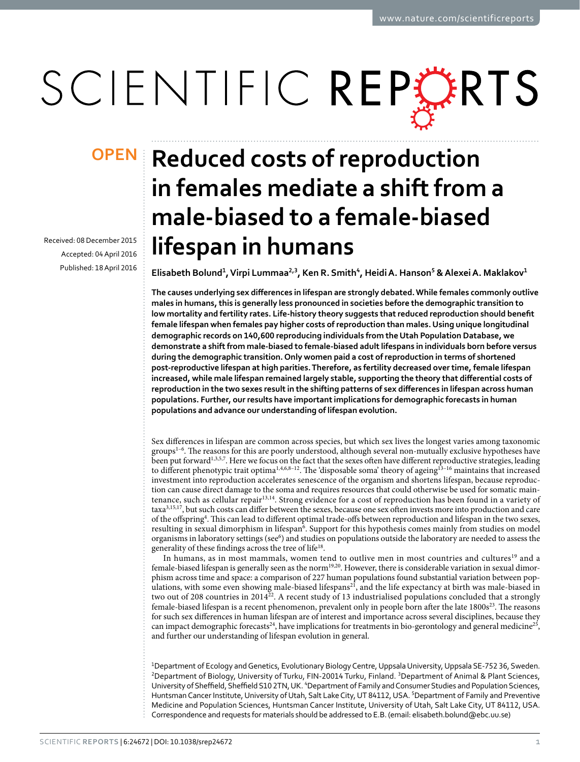# SCIENTIFIC REPERTS

Received: 08 December 2015 accepted: 04 April 2016 Published: 18 April 2016

## **Reduced costs of reproduction in females mediate a shift from a male-biased to a female-biased lifespan in humans**

**Elisabeth Bolund<sup>1</sup>, Virpi Lummaa<sup>2</sup>,<sup>3</sup>, Ken R. Smith<sup>4</sup>, Heidi A. Hanson<sup>5</sup> & AlexeiA. Maklakov<sup>1</sup>**

**The causes underlying sex differences in lifespan are strongly debated. While females commonly outlive males in humans, this is generally less pronounced in societies before the demographic transition to low mortality and fertility rates. Life-history theory suggests that reduced reproduction should benefit female lifespan when females pay higher costs of reproduction than males. Using unique longitudinal demographic records on 140,600 reproducing individuals from the Utah Population Database, we demonstrate a shift from male-biased to female-biased adult lifespans in individuals born before versus during the demographic transition. Only women paid a cost of reproduction in terms of shortened post-reproductive lifespan at high parities. Therefore, as fertility decreased over time, female lifespan increased, while male lifespan remained largely stable, supporting the theory that differential costs of reproduction in the two sexes result in the shifting patterns of sex differences in lifespan across human populations. Further, our results have important implications for demographic forecasts in human populations and advance our understanding of lifespan evolution.**

Sex differences in lifespan are common across species, but which sex lives the longest varies among taxonomic groups<sup>1-6</sup>. The reasons for this are poorly understood, although several non-mutually exclusive hypotheses have been put forward<sup>[1](#page-6-0),[3](#page-6-1),[5,](#page-6-2)7</sup>. Here we focus on the fact that the sexes often have different reproductive strategies, leading to different phenotypic trait optima<sup>1,[4,](#page-6-4)[6,](#page-6-5)8–12</sup>. The 'disposable soma' theory of ageing<sup>[13–16](#page-6-7)</sup> maintains that increased investment into reproduction accelerates senescence of the organism and shortens lifespan, because reproduction can cause direct damage to the soma and requires resources that could otherwise be used for somatic maintenance, such as cellular repai[r13](#page-6-7)[,14](#page-6-8). Strong evidence for a cost of reproduction has been found in a variety of tax[a3](#page-6-1),[15](#page-6-9)[,17](#page-6-10), but such costs can differ between the sexes, because one sex often invests more into production and care of the offspring<sup>[4](#page-6-4)</sup>. This can lead to different optimal trade-offs between reproduction and lifespan in the two sexes, resulting in sexual dimorphism in lifespan<sup>[6](#page-6-5)</sup>. Support for this hypothesis comes mainly from studies on model organisms in laboratory settings (see<sup>[6](#page-6-5)</sup>) and studies on populations outside the laboratory are needed to assess the generality of these findings across the tree of lif[e18.](#page-6-11)

In humans, as in most mammals, women tend to outlive men in most countries and cultures<sup>[19](#page-6-12)</sup> and a female-biased lifespan is generally seen as the nor[m19,](#page-6-12)[20.](#page-6-13) However, there is considerable variation in sexual dimorphism across time and space: a comparison of 227 human populations found substantial variation between pop-ulations, with some even showing male-biased lifespans<sup>[21](#page-7-0)</sup>, and the life expectancy at birth was male-biased in two out of 208 countries in  $2014^{22}$ . A recent study of 13 industrialised populations concluded that a strongly female-biased lifespan is a recent phenomenon, prevalent only in people born after the late  $1800s^{23}$ . The reasons for such sex differences in human lifespan are of interest and importance across several disciplines, because they can impact demographic forecasts<sup>[24](#page-7-3)</sup>, have implications for treatments in bio-gerontology and general medicine<sup>25</sup>, and further our understanding of lifespan evolution in general.

<sup>1</sup>Department of Ecology and Genetics, Evolutionary Biology Centre, Uppsala University, Uppsala SE-752 36, Sweden. <sup>2</sup>Department of Biology, University of Turku, FIN-20014 Turku, Finland. <sup>3</sup>Department of Animal & Plant Sciences, University of Sheffield, Sheffield S10 2TN, UK. <sup>4</sup>Department of Family and Consumer Studies and Population Sciences, Huntsman Cancer Institute, University of Utah, Salt Lake City, UT 84112, USA. <sup>5</sup>Department of Family and Preventive Medicine and Population Sciences, Huntsman Cancer Institute, University of Utah, Salt Lake City, UT 84112, USA. Correspondence and requests for materials should be addressed to E.B. (email: [elisabeth.bolund@ebc.uu.se\)](mailto:elisabeth.bolund@ebc.uu.se)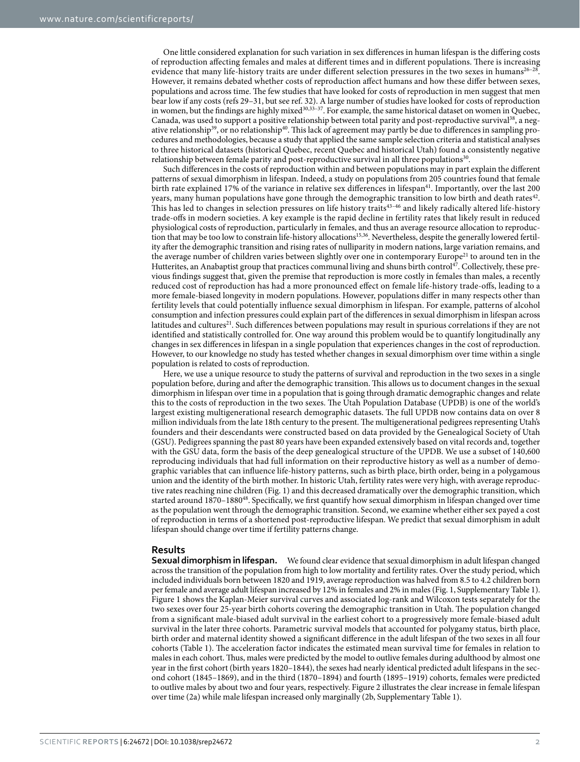One little considered explanation for such variation in sex differences in human lifespan is the differing costs of reproduction affecting females and males at different times and in different populations. There is increasing evidence that many life-history traits are under different selection pressures in the two sexes in humans<sup>26-28</sup> However, it remains debated whether costs of reproduction affect humans and how these differ between sexes, populations and across time. The few studies that have looked for costs of reproduction in men suggest that men bear low if any costs (refs [29–31,](#page-7-6) but see ref. [32](#page-7-7)). A large number of studies have looked for costs of reproduction in women, but the findings are highly mixed $30,33-37$  $30,33-37$ . For example, the same historical dataset on women in Quebec, Canada, was used to support a positive relationship between total parity and post-reproductive survival<sup>38</sup>, a neg-ative relationship<sup>39</sup>, or no relationship<sup>[40](#page-7-12)</sup>. This lack of agreement may partly be due to differences in sampling procedures and methodologies, because a study that applied the same sample selection criteria and statistical analyses to three historical datasets (historical Quebec, recent Quebec and historical Utah) found a consistently negative relationship between female parity and post-reproductive survival in all three populations<sup>[30](#page-7-8)</sup>.

Such differences in the costs of reproduction within and between populations may in part explain the different patterns of sexual dimorphism in lifespan. Indeed, a study on populations from 205 countries found that female birth rate explained 17% of the variance in relative sex differences in lifespan<sup>41</sup>. Importantly, over the last 200 years, many human populations have gone through the demographic transition to low birth and death rates<sup>42</sup>. This has led to changes in selection pressures on life history traits<sup>43-46</sup> and likely radically altered life-history trade-offs in modern societies. A key example is the rapid decline in fertility rates that likely result in reduced physiological costs of reproduction, particularly in females, and thus an average resource allocation to reproduction that may be too low to constrain life-history allocations[15](#page-6-9)[,36](#page-7-16). Nevertheless, despite the generally lowered fertility after the demographic transition and rising rates of nulliparity in modern nations, large variation remains, and the average number of children varies between slightly over one in contemporary Europe<sup>21</sup> to around ten in the Hutterites, an Anabaptist group that practices communal living and shuns birth control<sup>[47](#page-7-17)</sup>. Collectively, these previous findings suggest that, given the premise that reproduction is more costly in females than males, a recently reduced cost of reproduction has had a more pronounced effect on female life-history trade-offs, leading to a more female-biased longevity in modern populations. However, populations differ in many respects other than fertility levels that could potentially influence sexual dimorphism in lifespan. For example, patterns of alcohol consumption and infection pressures could explain part of the differences in sexual dimorphism in lifespan across latitudes and cultures<sup>21</sup>. Such differences between populations may result in spurious correlations if they are not identified and statistically controlled for. One way around this problem would be to quantify longitudinally any changes in sex differences in lifespan in a single population that experiences changes in the cost of reproduction. However, to our knowledge no study has tested whether changes in sexual dimorphism over time within a single population is related to costs of reproduction.

Here, we use a unique resource to study the patterns of survival and reproduction in the two sexes in a single population before, during and after the demographic transition. This allows us to document changes in the sexual dimorphism in lifespan over time in a population that is going through dramatic demographic changes and relate this to the costs of reproduction in the two sexes. The Utah Population Database (UPDB) is one of the world's largest existing multigenerational research demographic datasets. The full UPDB now contains data on over 8 million individuals from the late 18th century to the present. The multigenerational pedigrees representing Utah's founders and their descendants were constructed based on data provided by the Genealogical Society of Utah (GSU). Pedigrees spanning the past 80 years have been expanded extensively based on vital records and, together with the GSU data, form the basis of the deep genealogical structure of the UPDB. We use a subset of 140,600 reproducing individuals that had full information on their reproductive history as well as a number of demographic variables that can influence life-history patterns, such as birth place, birth order, being in a polygamous union and the identity of the birth mother. In historic Utah, fertility rates were very high, with average reproductive rates reaching nine children ([Fig. 1](#page-2-0)) and this decreased dramatically over the demographic transition, which started around 1870–188[048.](#page-7-18) Specifically, we first quantify how sexual dimorphism in lifespan changed over time as the population went through the demographic transition. Second, we examine whether either sex payed a cost of reproduction in terms of a shortened post-reproductive lifespan. We predict that sexual dimorphism in adult lifespan should change over time if fertility patterns change.

#### **Results**

**Sexual dimorphism in lifespan.** We found clear evidence that sexual dimorphism in adult lifespan changed across the transition of the population from high to low mortality and fertility rates. Over the study period, which included individuals born between 1820 and 1919, average reproduction was halved from 8.5 to 4.2 children born per female and average adult lifespan increased by 12% in females and 2% in males ([Fig. 1,](#page-2-0) Supplementary Table 1). [Figure 1](#page-2-0) shows the Kaplan-Meier survival curves and associated log-rank and Wilcoxon tests separately for the two sexes over four 25-year birth cohorts covering the demographic transition in Utah. The population changed from a significant male-biased adult survival in the earliest cohort to a progressively more female-biased adult survival in the later three cohorts. Parametric survival models that accounted for polygamy status, birth place, birth order and maternal identity showed a significant difference in the adult lifespan of the two sexes in all four cohorts [\(Table 1](#page-2-1)). The acceleration factor indicates the estimated mean survival time for females in relation to males in each cohort. Thus, males were predicted by the model to outlive females during adulthood by almost one year in the first cohort (birth years 1820–1844), the sexes had nearly identical predicted adult lifespans in the second cohort (1845–1869), and in the third (1870–1894) and fourth (1895–1919) cohorts, females were predicted to outlive males by about two and four years, respectively. [Figure 2](#page-3-0) illustrates the clear increase in female lifespan over time (2a) while male lifespan increased only marginally (2b, Supplementary Table 1).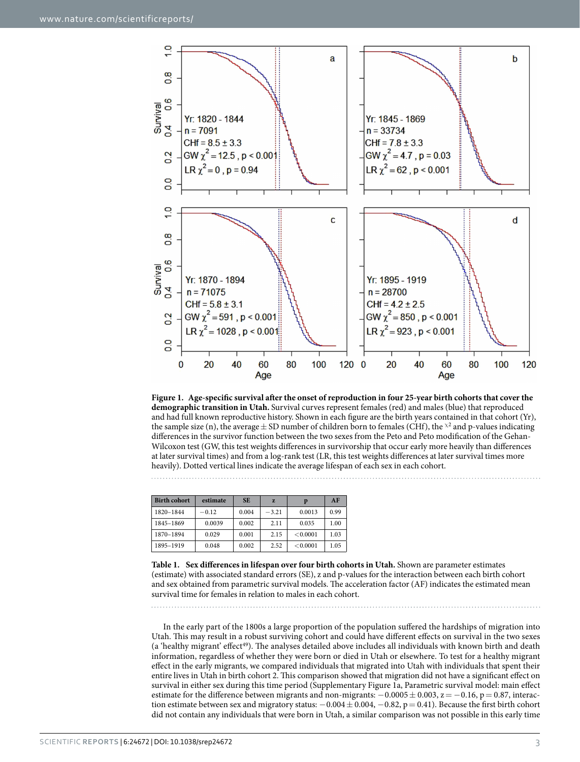

<span id="page-2-0"></span>

<span id="page-2-1"></span>

| <b>Birth cohort</b> | estimate | <b>SE</b> | 7.      |          | AF   |
|---------------------|----------|-----------|---------|----------|------|
| 1820-1844           | $-0.12$  | 0.004     | $-3.21$ | 0.0013   | 0.99 |
| 1845-1869           | 0.0039   | 0.002     | 2.11    | 0.035    | 1.00 |
| 1870-1894           | 0.029    | 0.001     | 2.15    | < 0.0001 | 1.03 |
| 1895-1919           | 0.048    | 0.002     | 2.52    | < 0.0001 | 1.05 |

**Table 1. Sex differences in lifespan over four birth cohorts in Utah.** Shown are parameter estimates (estimate) with associated standard errors (SE), z and p-values for the interaction between each birth cohort and sex obtained from parametric survival models. The acceleration factor (AF) indicates the estimated mean survival time for females in relation to males in each cohort.

In the early part of the 1800s a large proportion of the population suffered the hardships of migration into Utah. This may result in a robust surviving cohort and could have different effects on survival in the two sexes (a 'healthy migrant' effect<sup>49</sup>). The analyses detailed above includes all individuals with known birth and death information, regardless of whether they were born or died in Utah or elsewhere. To test for a healthy migrant effect in the early migrants, we compared individuals that migrated into Utah with individuals that spent their entire lives in Utah in birth cohort 2. This comparison showed that migration did not have a significant effect on survival in either sex during this time period (Supplementary Figure 1a, Parametric survival model: main effect estimate for the difference between migrants and non-migrants:  $-0.0005 \pm 0.003$ ,  $z = -0.16$ , p=0.87, interaction estimate between sex and migratory status:  $-0.004 \pm 0.004$ ,  $-0.82$ , p= 0.41). Because the first birth cohort did not contain any individuals that were born in Utah, a similar comparison was not possible in this early time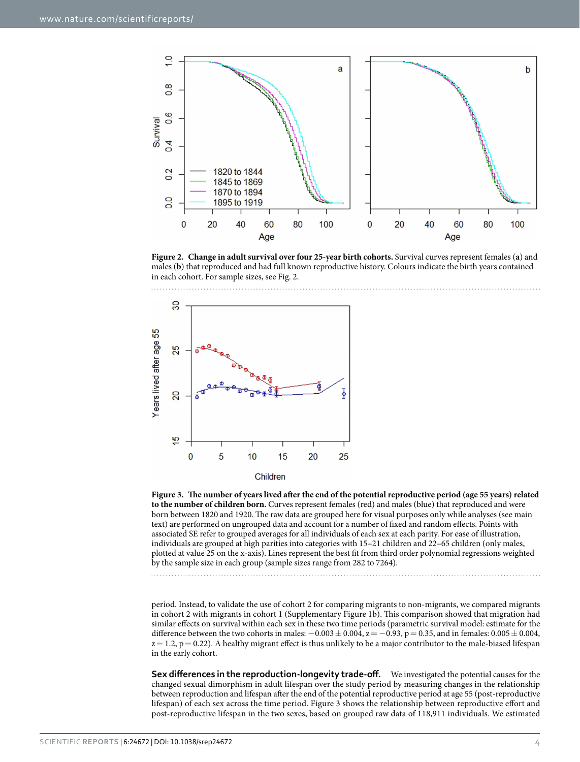

<span id="page-3-0"></span>**Figure 2. Change in adult survival over four 25-year birth cohorts.** Survival curves represent females (**a**) and males (**b**) that reproduced and had full known reproductive history. Colours indicate the birth years contained in each cohort. For sample sizes, see Fig. 2.



<span id="page-3-1"></span>

period. Instead, to validate the use of cohort 2 for comparing migrants to non-migrants, we compared migrants in cohort 2 with migrants in cohort 1 (Supplementary Figure 1b). This comparison showed that migration had similar effects on survival within each sex in these two time periods (parametric survival model: estimate for the difference between the two cohorts in males:  $-0.003 \pm 0.004$ ,  $z = -0.93$ ,  $p = 0.35$ , and in females: 0.005 $\pm$ 0.004,  $z = 1.2$ ,  $p = 0.22$ ). A healthy migrant effect is thus unlikely to be a major contributor to the male-biased lifespan in the early cohort.

**Sex differences in the reproduction-longevity trade-off.** We investigated the potential causes for the changed sexual dimorphism in adult lifespan over the study period by measuring changes in the relationship between reproduction and lifespan after the end of the potential reproductive period at age 55 (post-reproductive lifespan) of each sex across the time period. [Figure 3](#page-3-1) shows the relationship between reproductive effort and post-reproductive lifespan in the two sexes, based on grouped raw data of 118,911 individuals. We estimated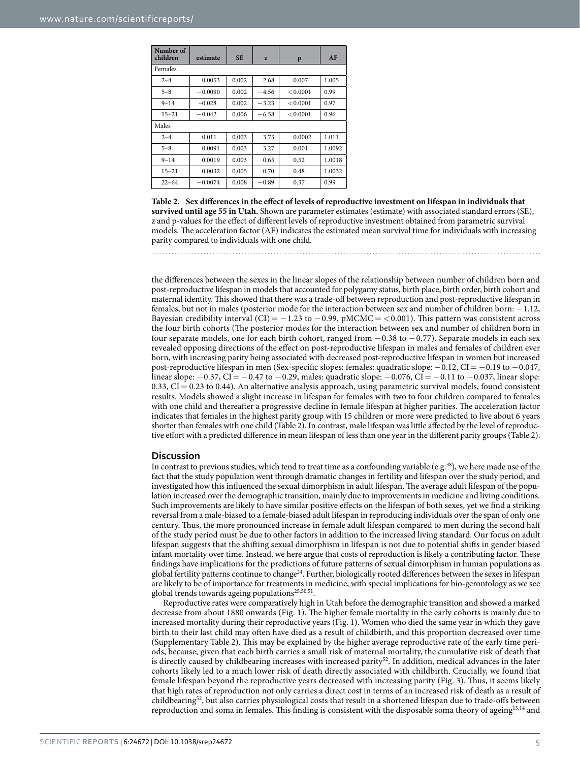<span id="page-4-0"></span>

| Number of<br>children | estimate  | <b>SE</b> | $\mathbf{z}$ | p        | AF     |  |  |  |  |
|-----------------------|-----------|-----------|--------------|----------|--------|--|--|--|--|
| Females               |           |           |              |          |        |  |  |  |  |
| $2 - 4$               | 0.0053    | 0.002     | 2.68         | 0.007    | 1.005  |  |  |  |  |
| $5 - 8$               | $-0.0090$ | 0.002     | $-4.56$      | < 0.0001 | 0.99   |  |  |  |  |
| $9 - 14$              | $-0.028$  | 0.002     | $-3.23$      | < 0.0001 | 0.97   |  |  |  |  |
| $15 - 21$             | $-0.042$  | 0.006     | $-6.58$      | < 0.0001 | 0.96   |  |  |  |  |
| Males                 |           |           |              |          |        |  |  |  |  |
| $2 - 4$               | 0.011     | 0.003     | 3.73         | 0.0002   | 1.011  |  |  |  |  |
| $5 - 8$               | 0.0091    | 0.003     | 3.27         | 0.001    | 1.0092 |  |  |  |  |
| $9 - 14$              | 0.0019    | 0.003     | 0.65         | 0.52     | 1.0018 |  |  |  |  |
| $15 - 21$             | 0.0032    | 0.005     | 0.70         | 0.48     | 1.0032 |  |  |  |  |
| $22 - 64$             | $-0.0074$ | 0.008     | $-0.89$      | 0.37     | 0.99   |  |  |  |  |

**Table 2. Sex differences in the effect of levels of reproductive investment on lifespan in individuals that survived until age 55 in Utah.** Shown are parameter estimates (estimate) with associated standard errors (SE), z and p-values for the effect of different levels of reproductive investment obtained from parametric survival models. The acceleration factor (AF) indicates the estimated mean survival time for individuals with increasing parity compared to individuals with one child.

the differences between the sexes in the linear slopes of the relationship between number of children born and post-reproductive lifespan in models that accounted for polygamy status, birth place, birth order, birth cohort and maternal identity. This showed that there was a trade-off between reproduction and post-reproductive lifespan in females, but not in males (posterior mode for the interaction between sex and number of children born: −1.12, Bayesian credibility interval (CI) =  $-1.23$  to  $-0.99$ , pMCMC =  $< 0.001$ ). This pattern was consistent across the four birth cohorts (The posterior modes for the interaction between sex and number of children born in four separate models, one for each birth cohort, ranged from  $-0.38$  to  $-0.77$ ). Separate models in each sex revealed opposing directions of the effect on post-reproductive lifespan in males and females of children ever born, with increasing parity being associated with decreased post-reproductive lifespan in women but increased post-reproductive lifespan in men (Sex-specific slopes: females: quadratic slope: −0.12, CI= −0.19 to −0.047, linear slope:  $-0.37$ , CI=  $-0.47$  to  $-0.29$ , males: quadratic slope:  $-0.076$ , CI=  $-0.11$  to  $-0.037$ , linear slope:  $0.33$ , CI = 0.23 to 0.44). An alternative analysis approach, using parametric survival models, found consistent results. Models showed a slight increase in lifespan for females with two to four children compared to females with one child and thereafter a progressive decline in female lifespan at higher parities. The acceleration factor indicates that females in the highest parity group with 15 children or more were predicted to live about 6 years shorter than females with one child ([Table 2\)](#page-4-0). In contrast, male lifespan was little affected by the level of reproductive effort with a predicted difference in mean lifespan of less than one year in the different parity groups ([Table 2\)](#page-4-0).

#### **Discussion**

In contrast to previous studies, which tend to treat time as a confounding variable (e.g.<sup>38</sup>), we here made use of the fact that the study population went through dramatic changes in fertility and lifespan over the study period, and investigated how this influenced the sexual dimorphism in adult lifespan. The average adult lifespan of the population increased over the demographic transition, mainly due to improvements in medicine and living conditions. Such improvements are likely to have similar positive effects on the lifespan of both sexes, yet we find a striking reversal from a male-biased to a female-biased adult lifespan in reproducing individuals over the span of only one century. Thus, the more pronounced increase in female adult lifespan compared to men during the second half of the study period must be due to other factors in addition to the increased living standard. Our focus on adult lifespan suggests that the shifting sexual dimorphism in lifespan is not due to potential shifts in gender biased infant mortality over time. Instead, we here argue that costs of reproduction is likely a contributing factor. These findings have implications for the predictions of future patterns of sexual dimorphism in human populations as global fertility patterns continue to change<sup>24</sup>. Further, biologically rooted differences between the sexes in lifespan are likely to be of importance for treatments in medicine, with special implications for bio-gerontology as we see global trends towards ageing populations<sup>25,[50,](#page-7-20)51</sup>.

Reproductive rates were comparatively high in Utah before the demographic transition and showed a marked decrease from about 1880 onwards [\(Fig. 1\)](#page-2-0). The higher female mortality in the early cohorts is mainly due to increased mortality during their reproductive years [\(Fig. 1](#page-2-0)). Women who died the same year in which they gave birth to their last child may often have died as a result of childbirth, and this proportion decreased over time (Supplementary Table 2). This may be explained by the higher average reproductive rate of the early time periods, because, given that each birth carries a small risk of maternal mortality, the cumulative risk of death that is directly caused by childbearing increases with increased parity<sup>52</sup>. In addition, medical advances in the later cohorts likely led to a much lower risk of death directly associated with childbirth. Crucially, we found that female lifespan beyond the reproductive years decreased with increasing parity ([Fig. 3](#page-3-1)). Thus, it seems likely that high rates of reproduction not only carries a direct cost in terms of an increased risk of death as a result of childbearing<sup>[52](#page-7-22)</sup>, but also carries physiological costs that result in a shortened lifespan due to trade-offs between reproduction and soma in females. This finding is consistent with the disposable soma theory of ageing<sup>13[,14](#page-6-8)</sup> and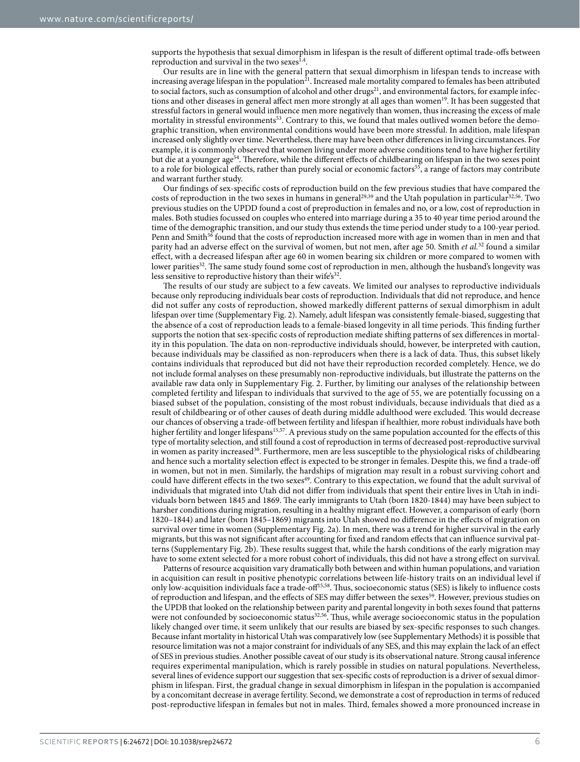supports the hypothesis that sexual dimorphism in lifespan is the result of different optimal trade-offs between reproduction and survival in the two sexes $1,4$  $1,4$ .

Our results are in line with the general pattern that sexual dimorphism in lifespan tends to increase with increasing average lifespan in the population<sup>[21](#page-7-0)</sup>. Increased male mortality compared to females has been attributed to social factors, such as consumption of alcohol and other drugs<sup>[21](#page-7-0)</sup>, and environmental factors, for example infections and other diseases in general affect men more strongly at all ages than women<sup>19</sup>. It has been suggested that stressful factors in general would influence men more negatively than women, thus increasing the excess of male mortality in stressful environments<sup>[53](#page-7-23)</sup>. Contrary to this, we found that males outlived women before the demographic transition, when environmental conditions would have been more stressful. In addition, male lifespan increased only slightly over time. Nevertheless, there may have been other differences in living circumstances. For example, it is commonly observed that women living under more adverse conditions tend to have higher fertility but die at a younger age[54.](#page-7-24) Therefore, while the different effects of childbearing on lifespan in the two sexes point to a role for biological effects, rather than purely social or economic factors<sup>55</sup>, a range of factors may contribute and warrant further study.

Our findings of sex-specific costs of reproduction build on the few previous studies that have compared the costs of reproduction in the two sexes in humans in general<sup>[29](#page-7-6),39</sup> and the Utah population in particular<sup>32,56</sup>. Two previous studies on the UPDD found a cost of preproduction in females and no, or a low, cost of reproduction in males. Both studies focussed on couples who entered into marriage during a 35 to 40 year time period around the time of the demographic transition, and our study thus extends the time period under study to a 100-year period. Penn and Smith<sup>56</sup> found that the costs of reproduction increased more with age in women than in men and that parity had an adverse effect on the survival of women, but not men, after age 50. Smith *et al.*[32](#page-7-7) found a similar effect, with a decreased lifespan after age 60 in women bearing six children or more compared to women with lower parities<sup>[32](#page-7-7)</sup>. The same study found some cost of reproduction in men, although the husband's longevity was less sensitive to reproductive history than their wife's<sup>[32](#page-7-7)</sup>.

The results of our study are subject to a few caveats. We limited our analyses to reproductive individuals because only reproducing individuals bear costs of reproduction. Individuals that did not reproduce, and hence did not suffer any costs of reproduction, showed markedly different patterns of sexual dimorphism in adult lifespan over time (Supplementary Fig. 2). Namely, adult lifespan was consistently female-biased, suggesting that the absence of a cost of reproduction leads to a female-biased longevity in all time periods. This finding further supports the notion that sex-specific costs of reproduction mediate shifting patterns of sex differences in mortality in this population. The data on non-reproductive individuals should, however, be interpreted with caution, because individuals may be classified as non-reproducers when there is a lack of data. Thus, this subset likely contains individuals that reproduced but did not have their reproduction recorded completely. Hence, we do not include formal analyses on these presumably non-reproductive individuals, but illustrate the patterns on the available raw data only in Supplementary Fig. 2. Further, by limiting our analyses of the relationship between completed fertility and lifespan to individuals that survived to the age of 55, we are potentially focussing on a biased subset of the population, consisting of the most robust individuals, because individuals that died as a result of childbearing or of other causes of death during middle adulthood were excluded. This would decrease our chances of observing a trade-off between fertility and lifespan if healthier, more robust individuals have both higher fertility and longer lifespans<sup>15,57</sup>. A previous study on the same population accounted for the effects of this type of mortality selection, and still found a cost of reproduction in terms of decreased post-reproductive survival in women as parity increased<sup>[30](#page-7-8)</sup>. Furthermore, men are less susceptible to the physiological risks of childbearing and hence such a mortality selection effect is expected to be stronger in females. Despite this, we find a trade-off in women, but not in men. Similarly, the hardships of migration may result in a robust surviving cohort and could have different effects in the two sexes<sup>[49](#page-7-19)</sup>. Contrary to this expectation, we found that the adult survival of individuals that migrated into Utah did not differ from individuals that spent their entire lives in Utah in individuals born between 1845 and 1869. The early immigrants to Utah (born 1820-1844) may have been subject to harsher conditions during migration, resulting in a healthy migrant effect. However, a comparison of early (born 1820–1844) and later (born 1845–1869) migrants into Utah showed no difference in the effects of migration on survival over time in women (Supplementary Fig. 2a). In men, there was a trend for higher survival in the early migrants, but this was not significant after accounting for fixed and random effects that can influence survival patterns (Supplementary Fig. 2b). These results suggest that, while the harsh conditions of the early migration may have to some extent selected for a more robust cohort of individuals, this did not have a strong effect on survival.

Patterns of resource acquisition vary dramatically both between and within human populations, and variation in acquisition can result in positive phenotypic correlations between life-history traits on an individual level if only low-acquisition individuals face a trade-o[ff15,](#page-6-9)[58.](#page-7-28) Thus, socioeconomic status (SES) is likely to influence costs of reproduction and lifespan, and the effects of SES may differ between the sexes<sup>59</sup>. However, previous studies on the UPDB that looked on the relationship between parity and parental longevity in both sexes found that patterns were not confounded by socioeconomic status $32,56$  $32,56$ . Thus, while average socioeconomic status in the population likely changed over time, it seem unlikely that our results are biased by sex-specific responses to such changes. Because infant mortality in historical Utah was comparatively low (see Supplementary Methods) it is possible that resource limitation was not a major constraint for individuals of any SES, and this may explain the lack of an effect of SES in previous studies. Another possible caveat of our study is its observational nature. Strong causal inference requires experimental manipulation, which is rarely possible in studies on natural populations. Nevertheless, several lines of evidence support our suggestion that sex-specific costs of reproduction is a driver of sexual dimorphism in lifespan. First, the gradual change in sexual dimorphism in lifespan in the population is accompanied by a concomitant decrease in average fertility. Second, we demonstrate a cost of reproduction in terms of reduced post-reproductive lifespan in females but not in males. Third, females showed a more pronounced increase in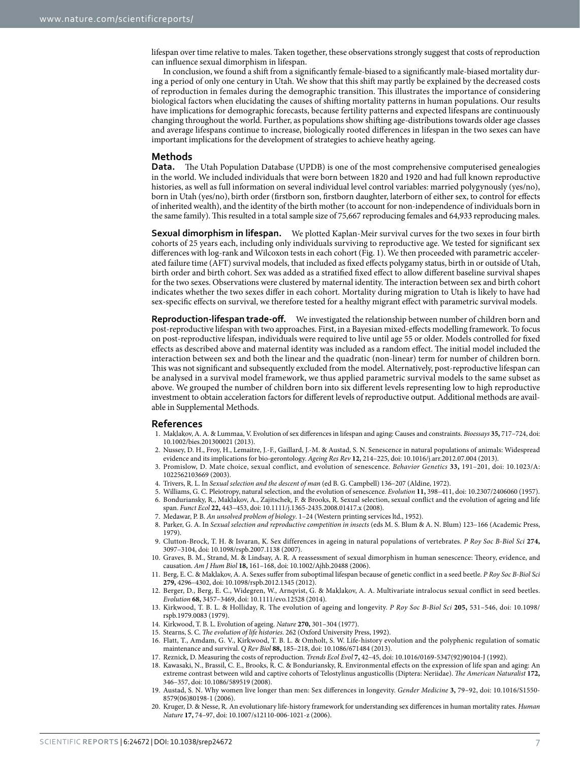lifespan over time relative to males. Taken together, these observations strongly suggest that costs of reproduction can influence sexual dimorphism in lifespan.

In conclusion, we found a shift from a significantly female-biased to a significantly male-biased mortality during a period of only one century in Utah. We show that this shift may partly be explained by the decreased costs of reproduction in females during the demographic transition. This illustrates the importance of considering biological factors when elucidating the causes of shifting mortality patterns in human populations. Our results have implications for demographic forecasts, because fertility patterns and expected lifespans are continuously changing throughout the world. Further, as populations show shifting age-distributions towards older age classes and average lifespans continue to increase, biologically rooted differences in lifespan in the two sexes can have important implications for the development of strategies to achieve heathy ageing.

#### **Methods**

**Data.** The Utah Population Database (UPDB) is one of the most comprehensive computerised genealogies in the world. We included individuals that were born between 1820 and 1920 and had full known reproductive histories, as well as full information on several individual level control variables: married polygynously (yes/no), born in Utah (yes/no), birth order (firstborn son, firstborn daughter, laterborn of either sex, to control for effects of inherited wealth), and the identity of the birth mother (to account for non-independence of individuals born in the same family). This resulted in a total sample size of 75,667 reproducing females and 64,933 reproducing males.

**Sexual dimorphism in lifespan.** We plotted Kaplan-Meir survival curves for the two sexes in four birth cohorts of 25 years each, including only individuals surviving to reproductive age. We tested for significant sex differences with log-rank and Wilcoxon tests in each cohort [\(Fig. 1\)](#page-2-0). We then proceeded with parametric accelerated failure time (AFT) survival models, that included as fixed effects polygamy status, birth in or outside of Utah, birth order and birth cohort. Sex was added as a stratified fixed effect to allow different baseline survival shapes for the two sexes. Observations were clustered by maternal identity. The interaction between sex and birth cohort indicates whether the two sexes differ in each cohort. Mortality during migration to Utah is likely to have had sex-specific effects on survival, we therefore tested for a healthy migrant effect with parametric survival models.

**Reproduction-lifespan trade-off.** We investigated the relationship between number of children born and post-reproductive lifespan with two approaches. First, in a Bayesian mixed-effects modelling framework. To focus on post-reproductive lifespan, individuals were required to live until age 55 or older. Models controlled for fixed effects as described above and maternal identity was included as a random effect. The initial model included the interaction between sex and both the linear and the quadratic (non-linear) term for number of children born. This was not significant and subsequently excluded from the model. Alternatively, post-reproductive lifespan can be analysed in a survival model framework, we thus applied parametric survival models to the same subset as above. We grouped the number of children born into six different levels representing low to high reproductive investment to obtain acceleration factors for different levels of reproductive output. Additional methods are available in Supplemental Methods.

#### **References**

- <span id="page-6-0"></span>1. Maklakov, A. A. & Lummaa, V. Evolution of sex differences in lifespan and aging: Causes and constraints. *Bioessays* **35,** 717–724, doi: 10.1002/bies.201300021 (2013).
- 2. Nussey, D. H., Froy, H., Lemaitre, J.-F., Gaillard, J.-M. & Austad, S. N. Senescence in natural populations of animals: Widespread evidence and its implications for bio-gerontology. *Ageing Res Rev* **12,** 214–225, doi: 10.1016/j.arr.2012.07.004 (2013).
- <span id="page-6-1"></span>3. Promislow, D. Mate choice, sexual conflict, and evolution of senescence. *Behavior Genetics* **33,** 191–201, doi: 10.1023/A: 1022562103669 (2003).
- <span id="page-6-4"></span>4. Trivers, R. L. In *Sexual selection and the descent of man* (ed B. G. Campbell) 136–207 (Aldine, 1972).
- <span id="page-6-5"></span><span id="page-6-2"></span>5. Williams, G. C. Pleiotropy, natural selection, and the evolution of senescence. *Evolution* **11,** 398–411, doi: 10.2307/2406060 (1957). 6. Bonduriansky, R., Maklakov, A., Zajitschek, F. & Brooks, R. Sexual selection, sexual conflict and the evolution of ageing and life
- <span id="page-6-3"></span>span. *Funct Ecol* **22,** 443–453, doi: 10.1111/j.1365-2435.2008.01417.x (2008).
- 7. Medawar, P. B. *An unsolved problem of biology*. 1–24 (Western printing services ltd., 1952).
- <span id="page-6-6"></span>8. Parker, G. A. In *Sexual selection and reproductive competition in insects* (eds M. S. Blum & A. N. Blum) 123–166 (Academic Press, 1979).
- 9. Clutton-Brock, T. H. & Isvaran, K. Sex differences in ageing in natural populations of vertebrates. *P Roy Soc B-Biol Sci* **274,** 3097–3104, doi: 10.1098/rspb.2007.1138 (2007).
- 10. Graves, B. M., Strand, M. & Lindsay, A. R. A reassessment of sexual dimorphism in human senescence: Theory, evidence, and causation. *Am J Hum Biol* **18,** 161–168, doi: 10.1002/Ajhb.20488 (2006).
- 11. Berg, E. C. & Maklakov, A. A. Sexes suffer from suboptimal lifespan because of genetic conflict in a seed beetle. *P Roy Soc B-Biol Sci* **279,** 4296–4302, doi: 10.1098/rspb.2012.1345 (2012).
- 12. Berger, D., Berg, E. C., Widegren, W., Arnqvist, G. & Maklakov, A. A. Multivariate intralocus sexual conflict in seed beetles. *Evolution* **68,** 3457–3469, doi: 10.1111/evo.12528 (2014).
- <span id="page-6-7"></span>13. Kirkwood, T. B. L. & Holliday, R. The evolution of ageing and longevity. *P Roy Soc B-Biol Sci* **205,** 531–546, doi: 10.1098/ rspb.1979.0083 (1979).
- <span id="page-6-8"></span>14. Kirkwood, T. B. L. Evolution of ageing. *Nature* **270,** 301–304 (1977).
- <span id="page-6-9"></span>15. Stearns, S. C. *The evolution of life histories*. 262 (Oxford University Press, 1992).
- 16. Flatt, T., Amdam, G. V., Kirkwood, T. B. L. & Omholt, S. W. Life-history evolution and the polyphenic regulation of somatic maintenance and survival. *Q Rev Biol* **88,** 185–218, doi: 10.1086/671484 (2013).
- 17. Reznick, D. Measuring the costs of reproduction. *Trends Ecol Evol* **7,** 42–45, doi: 10.1016/0169-5347(92)90104-J (1992).
- <span id="page-6-11"></span><span id="page-6-10"></span>18. Kawasaki, N., Brassil, C. E., Brooks, R. C. & Bonduriansky, R. Environmental effects on the expression of life span and aging: An extreme contrast between wild and captive cohorts of Telostylinus angusticollis (Diptera: Neriidae). *The American Naturalist* **172,** 346–357, doi: 10.1086/589519 (2008).
- <span id="page-6-12"></span>19. Austad, S. N. Why women live longer than men: Sex differences in longevity. *Gender Medicine* **3,** 79–92, doi: 10.1016/S1550- 8579(06)80198-1 (2006).
- <span id="page-6-13"></span>20. Kruger, D. & Nesse, R. An evolutionary life-history framework for understanding sex differences in human mortality rates. *Human Nature* **17,** 74–97, doi: 10.1007/s12110-006-1021-z (2006).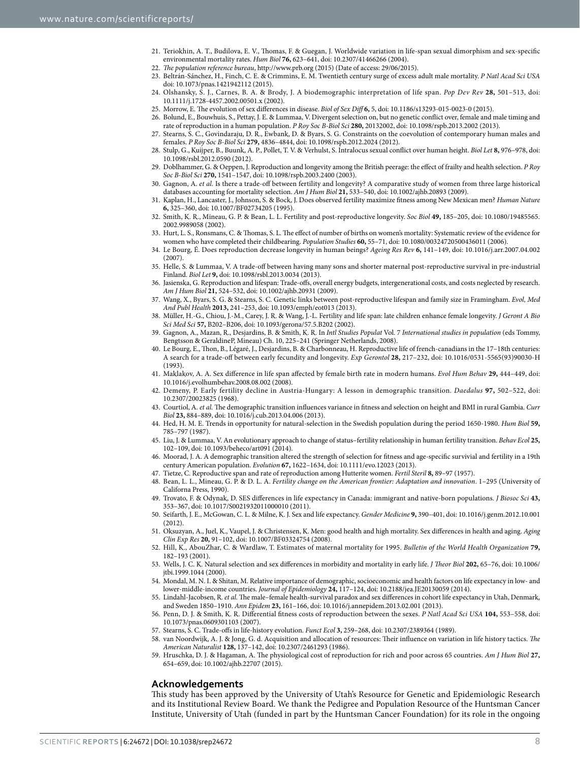- <span id="page-7-0"></span>21. Teriokhin, A. T., Budilova, E. V., Thomas, F. & Guegan, J. Worldwide variation in life-span sexual dimorphism and sex-specific environmental mortality rates. *Hum Biol* **76,** 623–641, doi: 10.2307/41466266 (2004).
- <span id="page-7-1"></span>22. *The population reference bureau*,<http://www.prb.org>(2015) (Date of access: 29/06/2015).
- <span id="page-7-2"></span>23. Beltrán-Sánchez, H., Finch, C. E. & Crimmins, E. M. Twentieth century surge of excess adult male mortality. *P Natl Acad Sci USA* doi: 10.1073/pnas.1421942112 (2015).
- <span id="page-7-3"></span>24. Olshansky, S. J., Carnes, B. A. & Brody, J. A biodemographic interpretation of life span. *Pop Dev Rev* **28,** 501–513, doi: 10.1111/j.1728-4457.2002.00501.x (2002).
- <span id="page-7-5"></span><span id="page-7-4"></span>25. Morrow, E. The evolution of sex differences in disease. *Biol of Sex Diff* **6,** 5, doi: 10.1186/s13293-015-0023-0 (2015).
- 26. Bolund, E., Bouwhuis, S., Pettay, J. E. & Lummaa, V. Divergent selection on, but no genetic conflict over, female and male timing and rate of reproduction in a human population. *P Roy Soc B-Biol Sci* **280,** 20132002, doi: 10.1098/rspb.2013.2002 (2013).
- 27. Stearns, S. C., Govindaraju, D. R., Ewbank, D. & Byars, S. G. Constraints on the coevolution of contemporary human males and females. *P Roy Soc B-Biol Sci* **279,** 4836–4844, doi: 10.1098/rspb.2012.2024 (2012).
- 28. Stulp, G., Kuijper, B., Buunk, A. P., Pollet, T. V. & Verhulst, S. Intralocus sexual conflict over human height. *Biol Let* **8,** 976–978, doi: 10.1098/rsbl.2012.0590 (2012).
- <span id="page-7-6"></span>29. Doblhammer, G. & Oeppen, J. Reproduction and longevity among the British peerage: the effect of frailty and health selection. *P Roy Soc B-Biol Sci* **270,** 1541–1547, doi: 10.1098/rspb.2003.2400 (2003).
- <span id="page-7-8"></span>30. Gagnon, A. *et al.* Is there a trade-off between fertility and longevity? A comparative study of women from three large historical databases accounting for mortality selection. *Am J Hum Biol* **21,** 533–540, doi: 10.1002/ajhb.20893 (2009).
- 31. Kaplan, H., Lancaster, J., Johnson, S. & Bock, J. Does observed fertility maximize fitness among New Mexican men? *Human Nature* **6,** 325–360, doi: 10.1007/BF02734205 (1995).
- <span id="page-7-7"></span>32. Smith, K. R., Mineau, G. P. & Bean, L. L. Fertility and post-reproductive longevity. *Soc Biol* **49,** 185–205, doi: 10.1080/19485565. 2002.9989058 (2002).
- <span id="page-7-9"></span>33. Hurt, L. S., Ronsmans, C. & Thomas, S. L. The effect of number of births on women's mortality: Systematic review of the evidence for women who have completed their childbearing. *Population Studies* **60,** 55–71, doi: 10.1080/00324720500436011 (2006).
- 34. Le Bourg, É. Does reproduction decrease longevity in human beings? *Ageing Res Rev* **6,** 141–149, doi: 10.1016/j.arr.2007.04.002  $(2007)$
- 35. Helle, S. & Lummaa, V. A trade-off between having many sons and shorter maternal post-reproductive survival in pre-industrial Finland. *Biol Let* **9,** doi: 10.1098/rsbl.2013.0034 (2013).
- <span id="page-7-16"></span>36. Jasienska, G. Reproduction and lifespan: Trade-offs, overall energy budgets, intergenerational costs, and costs neglected by research. *Am J Hum Biol* **21,** 524–532, doi: 10.1002/ajhb.20931 (2009).
- 37. Wang, X., Byars, S. G. & Stearns, S. C. Genetic links between post-reproductive lifespan and family size in Framingham. *Evol, Med And Publ Health* **2013,** 241–253, doi: 10.1093/emph/eot013 (2013).
- <span id="page-7-10"></span>38. Müller, H.-G., Chiou, J.-M., Carey, J. R. & Wang, J.-L. Fertility and life span: late children enhance female longevity. *J Geront A Bio Sci Med Sci* **57,** B202–B206, doi: 10.1093/gerona/57.5.B202 (2002).
- <span id="page-7-11"></span>39. Gagnon, A., Mazan, R., Desjardins, B. & Smith, K. R. In *Intl Studies Populat* Vol. 7 *International studies in population* (eds Tommy, Bengtsson & GeraldineP, Mineau) Ch. 10, 225–241 (Springer Netherlands, 2008).
- <span id="page-7-12"></span>40. Le Bourg, E., Thon, B., Légaré, J., Desjardins, B. & Charbonneau, H. Reproductive life of french-canadians in the 17–18th centuries: A search for a trade-off between early fecundity and longevity. *Exp Gerontol* **28,** 217–232, doi: 10.1016/0531-5565(93)90030-H (1993).
- <span id="page-7-13"></span>41. Maklakov, A. A. Sex difference in life span affected by female birth rate in modern humans. *Evol Hum Behav* **29,** 444–449, doi: 10.1016/j.evolhumbehav.2008.08.002 (2008).
- <span id="page-7-14"></span>42. Demeny, P. Early fertility decline in Austria-Hungary: A lesson in demographic transition. *Daedalus* **97,** 502–522, doi: 10.2307/20023825 (1968).
- <span id="page-7-15"></span>43. Courtiol, A. *et al.* The demographic transition influences variance in fitness and selection on height and BMI in rural Gambia. *Curr Biol* **23,** 884–889, doi: 10.1016/j.cub.2013.04.006 (2013).
- 44. Hed, H. M. E. Trends in opportunity for natural-selection in the Swedish population during the period 1650-1980. *Hum Biol* **59,** 785–797 (1987).
- 45. Liu, J. & Lummaa, V. An evolutionary approach to change of status–fertility relationship in human fertility transition. *Behav Ecol* **25,** 102–109, doi: 10.1093/beheco/art091 (2014).
- 46. Moorad, J. A. A demographic transition altered the strength of selection for fitness and age-specific survivial and fertility in a 19th century American population. *Evolution* **67,** 1622–1634, doi: 10.1111/evo.12023 (2013).
- <span id="page-7-17"></span>47. Tietze, C. Reproductive span and rate of reproduction among Hutterite women. *Fertil Steril* **8,** 89–97 (1957).
- <span id="page-7-18"></span>48. Bean, L. L., Mineau, G. P. & D. L. A. *Fertility change on the American frontier: Adaptation and innovation*. 1-295 (University of Californa Press, 1990).
- <span id="page-7-19"></span>49. Trovato, F. & Odynak, D. SES differences in life expectancy in Canada: immigrant and native-born populations. *J Biosoc Sci* **43,** 353–367, doi: 10.1017/S0021932011000010 (2011).
- <span id="page-7-20"></span>50. Seifarth, J. E., McGowan, C. L. & Milne, K. J. Sex and life expectancy. *Gender Medicine* **9,** 390–401, doi: 10.1016/j.genm.2012.10.001 (2012).
- <span id="page-7-21"></span>51. Oksuzyan, A., Juel, K., Vaupel, J. & Christensen, K. Men: good health and high mortality. Sex differences in health and aging. *Aging Clin Exp Res* **20,** 91–102, doi: 10.1007/BF03324754 (2008).
- <span id="page-7-22"></span>52. Hill, K., AbouZhar, C. & Wardlaw, T. Estimates of maternal mortality for 1995. *Bulletin of the World Health Organization* **79,** 182–193 (2001).
- <span id="page-7-23"></span>53. Wells, J. C. K. Natural selection and sex differences in morbidity and mortality in early life. *J Theor Biol* **202,** 65–76, doi: 10.1006/ jtbi.1999.1044 (2000).
- <span id="page-7-24"></span>54. Mondal, M. N. I. & Shitan, M. Relative importance of demographic, socioeconomic and health factors on life expectancy in low- and lower-middle-income countries. *Journal of Epidemiology* **24,** 117–124, doi: 10.2188/jea.JE20130059 (2014).
- <span id="page-7-25"></span>55. Lindahl-Jacobsen, R. *et al.* The male–female health-survival paradox and sex differences in cohort life expectancy in Utah, Denmark, and Sweden 1850–1910. *Ann Epidem* **23,** 161–166, doi: 10.1016/j.annepidem.2013.02.001 (2013).
- <span id="page-7-26"></span>56. Penn, D. J. & Smith, K. R. Differential fitness costs of reproduction between the sexes. *P Natl Acad Sci USA* **104,** 553–558, doi: 10.1073/pnas.0609301103 (2007).
- <span id="page-7-27"></span>57. Stearns, S. C. Trade-offs in life-history evolution. *Funct Ecol* **3,** 259–268, doi: 10.2307/2389364 (1989).
- <span id="page-7-28"></span>58. van Noordwijk, A. J. & Jong, G. d. Acquisition and allocation of resources: Their influence on variation in life history tactics. *The American Naturalist* **128,** 137–142, doi: 10.2307/2461293 (1986).
- <span id="page-7-29"></span>59. Hruschka, D. J. & Hagaman, A. The physiological cost of reproduction for rich and poor across 65 countries. *Am J Hum Biol* **27,** 654–659, doi: 10.1002/ajhb.22707 (2015).

#### **Acknowledgements**

This study has been approved by the University of Utah's Resource for Genetic and Epidemiologic Research and its Institutional Review Board. We thank the Pedigree and Population Resource of the Huntsman Cancer Institute, University of Utah (funded in part by the Huntsman Cancer Foundation) for its role in the ongoing